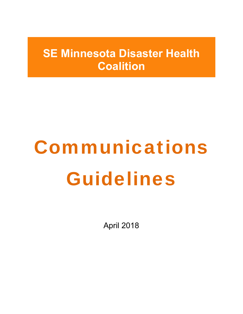## **SE Minnesota Disaster Health Coalition**

# Communications Guidelines

April 2018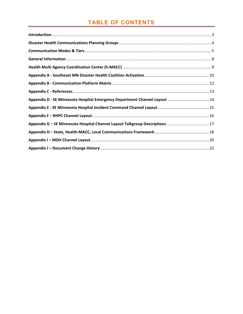## **TABLE OF CONTENTS**

| Appendix D - SE Minnesota Hospital Emergency Department Channel Layout  14  |  |
|-----------------------------------------------------------------------------|--|
|                                                                             |  |
|                                                                             |  |
| Appendix G - SE Minnesota Hospital Channel Layout Talkgroup Descriptions 17 |  |
|                                                                             |  |
|                                                                             |  |
|                                                                             |  |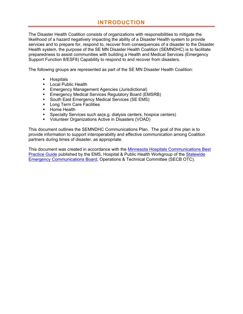## **INTRODUCTION**

The Disaster Health Coalition consists of organizations with responsibilities to mitigate the likelihood of a hazard negatively impacting the ability of a Disaster Health system to provide services and to prepare for, respond to, recover from consequences of a disaster to the Disaster Health system, the purpose of the SE MN Disaster Health Coalition (SEMNDHC) is to facilitate preparedness to assist communities with building a Health and Medical Services (Emergency Support Function 8/ESF8) Capability to respond to and recover from disasters.

The following groups are represented as part of the SE MN Disaster Health Coalition:

- **Hospitals**
- **Local Public Health**
- **Emergency Management Agencies (Jurisdictional)**
- **Emergency Medical Services Regulatory Board (EMSRB)**
- **South East Emergency Medical Services (SE EMS)**
- **Long Term Care Facilities**
- Home Health
- **Specialty Services such as (e.g. dialysis centers, hospice centers)**
- Volunteer Organizations Active in Disasters (VOAD)

This document outlines the SEMNDHC Communications Plan. The goal of this plan is to provide information to support interoperability and effective communication among Coalition partners during times of disaster, as appropriate.

This document was created in accordance with the Minnesota Hospitals Communications Best Practice Guide published by the EMS, Hospital & Public Health Workgroup of the Statewide Emergency Communications Board, Operations & Technical Committee (SECB OTC).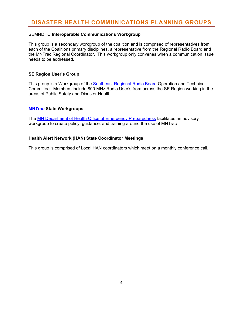## **DISASTER HEALTH COMMUNICATIONS PLANNING GROUPS**

#### SEMNDHC **Interoperable Communications Workgroup**

This group is a secondary workgroup of the coalition and is comprised of representatives from each of the Coalitions primary disciplines, a representative from the Regional Radio Board and the MNTrac Regional Coordinator. This workgroup only convenes when a communication issue needs to be addressed.

#### **SE Region User's Group**

This group is a Workgroup of the **Southeast Regional Radio Board Operation and Technical** Committee. Members include 800 MHz Radio User's from across the SE Region working in the areas of Public Safety and Disaster Health.

#### **MN***Trac* **State Workgroups**

The MN Department of Health Office of Emergency Preparedness facilitates an advisory workgroup to create policy, guidance, and training around the use of MNTrac

#### **Health Alert Network (HAN) State Coordinator Meetings**

This group is comprised of Local HAN coordinators which meet on a monthly conference call.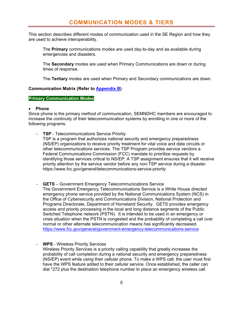This section describes different modes of communication used in the SE Region and how they are used to achieve interoperability.

The **Primary** communications modes are used day-to-day and as available during emergencies and disasters.

The **Secondary** modes are used when Primary Communications are down or during times of response.

The **Tertiary** modes are used when Primary and Secondary communications are down.

#### **Communication Matrix (Refer to Appendix B)**

#### **Primary Communication Modes**

#### **Phone**

Since phone is the primary method of communication, SEMNDHC members are encouraged to increase the continuity of their telecommunication systems by enrolling in one or more of the following programs.

- **TSP** Telecommunications Service Priority TSP is a program that authorizes national security and emergency preparedness (NS/EP) organizations to receive priority treatment for vital voice and data circuits or other telecommunications services. The TSP Program provides service vendors a Federal Communications Commission (FCC) mandate to prioritize requests by identifying those services critical to NS/EP. A TSP assignment ensures that it will receive priority attention by the service vendor before any non-TSP service during a disaster. https://www.fcc.gov/general/telecommunications-service-priority
- **GETS** Government Emergency Telecommunications Service The Government Emergency Telecommunications Service is a White House directed emergency phone service provided by the National Communications System (NCS) in the Office of Cybersecurity and Communications Division, National Protection and Programs Directorate, Department of Homeland Security. GETS provides emergency access and priority processing in the local and long distance segments of the Public Switched Telephone network (PSTN). It is intended to be used in an emergency or crisis situation when the PSTN is congested and the probability of completing a call over normal or other alternate telecommunication means has significantly decreased. https://www.fcc.gov/general/government-emergency-telecommunications-service
- **WPS**  Wireless Priority Services Wireless Priority Services is a priority calling capability that greatly increases the probability of call completion during a national security and emergency preparedness (NS/EP) event while using their cellular phone. To make a WPS call, the user must first have the WPS feature added to their cellular service. Once established, the caller can dial \*272 plus the destination telephone number to place an emergency wireless call.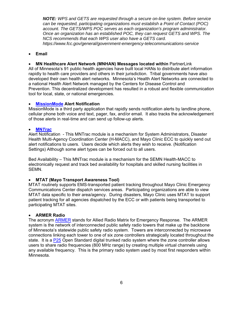*NOTE: WPS and GETS are requested through a secure on-line system. Before service can be requested, participating organizations must establish a Point of Contact (POC) account. The GETS/WPS POC serves as each organization's program administrator. Once an organization has an established POC, they can request GETS and WPS. The NCS recommends that each WPS user also have a GETS card. https://www.fcc.gov/general/government-emergency-telecommunications-service* 

#### **Email**

 **MN Healthcare Alert Network (MNHAN) Messages located within** PartnerLink All of Minnesota's 91 public health agencies have built local HANs to distribute alert information rapidly to health care providers and others in their jurisdiction. Tribal governments have also developed their own health alert networks. Minnesota's Health Alert Networks are connected to a national Health Alert Network managed by the Centers for Disease Control and Prevention. This decentralized development has resulted in a robust and flexible communication tool for local, state, or national emergencies.

#### **MissionMode Alert Notification**

MissionMode is a third party application that rapidly sends notification alerts by landline phone, cellular phone both voice and text, pager, fax, and/or email. It also tracks the acknowledgement of those alerts in real-time and can send up follow-up alerts.

#### **MN***Trac*

Alert Notification - This MNTrac module is a mechanism for System Administrators, Disaster Health Multi-Agency Coordination Center (H-MACC), and Mayo Clinic ECC to quickly send out alert notifications to users. Users decide which alerts they wish to receive. (Notification Settings) Although some alert types can be forced out to all users.

Bed Availability – This MNTrac module is a mechanism for the SEMN Health-MACC to electronically request and track bed availability for hospitals and skilled nursing facilities in SEMN.

#### **MTAT (Mayo Transport Awareness Tool)**

MTAT routinely supports EMS-transported patient tracking throughout Mayo Clinic Emergency Communications Center dispatch services areas. Participating organizations are able to view MTAT data specific to their area/agency. During disasters, Mayo Clinic uses MTAT to support patient tracking for all agencies dispatched by the ECC or with patients being transported to participating MTAT sites.

#### **ARMER Radio**

The acronym ARMER stands for Allied Radio Matrix for Emergency Response. The ARMER system is the network of interconnected public safety radio towers that make up the backbone of Minnesota's statewide public safety radio system. Towers are interconnected by microwave connections linking each tower to one of six zone controllers strategically located throughout the state. It is a P25 Open Standard digital trunked radio system where the zone controller allows users to share radio frequencies (800 MHz range) by creating multiple virtual channels using any available frequency. This is the primary radio system used by most first responders within Minnesota.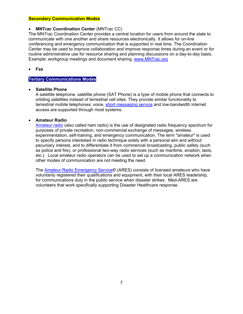#### **Secondary Communication Modes**

#### **MNT***rac* **Coordination Center** (MNTrac CC)

The MN*Trac* Coordination Center provides a central location for users from around the state to communicate with one another and share resources electronically. It allows for on-line conferencing and emergency communication that is supported in real time. The Coordination Center may be used to improve collaboration and improve response times during an event or for routine administrative use for resource sharing and planning discussions on a day-to-day basis. Example: workgroup meetings and document sharing. www.MNTrac.org

**Fax** 

#### **Tertiary Communications Modes**

#### **Satellite Phone**

A satellite telephone, satellite phone (SAT Phone) is a type of mobile phone that connects to orbiting satellites instead of terrestrial cell sites. They provide similar functionality to terrestrial mobile telephones; voice, short messaging service and low-bandwidth internet access are supported through most systems.

#### **Amateur Radio**

Amateur radio (also called ham radio) is the use of designated radio frequency spectrum for purposes of private recreation, non-commercial exchange of messages, wireless experimentation, self-training, and emergency communication. The term "amateur" is used to specify persons interested in radio technique solely with a personal aim and without pecuniary interest, and to differentiate it from commercial broadcasting, public safety (such as police and fire), or professional two-way radio services (such as maritime, aviation, taxis, etc.). Local amateur radio operators can be used to set up a communication network when other modes of communication are not meeting the need.

The **Amateur Radio Emergency Service®** (ARES) consists of licensed amateurs who have voluntarily registered their qualifications and equipment, with their local ARES leadership, for communications duty in the public service when disaster strikes. Med-ARES are volunteers that work specifically supporting Disaster Healthcare response.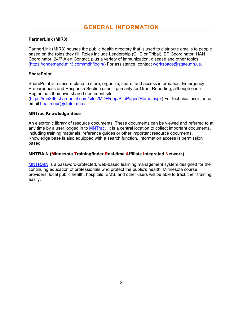#### **PartnerLink (MIR3)**

PartnerLink (MIR3) houses the public health directory that is used to distribute emails to people based on the roles they fill. Roles include Leadership (CHB or Tribal), EP Coordinator, HAN Coordinator, 24/7 Alert Contact, plus a variety of immunization, disease and other topics. (https://ondemand.mir3.com/mdh/login/) For assistance, contact workspace@state.mn.us.

#### **SharePoint**

SharePoint is a secure place to store, organize, share, and access information. Emergency Preparedness and Response Section uses it primarily for Grant Reporting, although each Region has their own shared document site.

(https://mn365.sharepoint.com/sites/MDH/oep/SitePages/Home.aspx) For technical assistance, email health.epr@state.mn.us.

#### **MNTrac Knowledge Base**

An electronic library of resource documents. These documents can be viewed and referred to at any time by a user logged in to **MNTrac.** It is a central location to collect important documents, including training materials, reference guides or other important resource documents. Knowledge base is also equipped with a search function. Information access is permission based.

#### **MNTRAIN (Minnesota Trainingfinder Real-time Affiliate Integrated Network)**

MNTRAIN is a password-protected, web-based learning management system designed for the continuing education of professionals who protect the public's health. Minnesota course providers, local public health, hospitals, EMS, and other users will be able to track their training easily.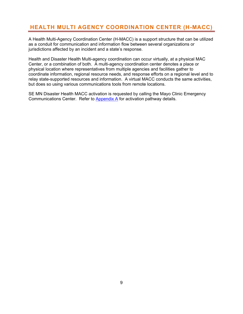## **HEALTH MULTI AGENCY COORDINATION CENTER (H-MACC)**

A Health Multi-Agency Coordination Center (H-MACC) is a support structure that can be utilized as a conduit for communication and information flow between several organizations or jurisdictions affected by an incident and a state's response.

Health and Disaster Health Multi-agency coordination can occur virtually, at a physical MAC Center, or a combination of both. A multi-agency coordination center denotes a place or physical location where representatives from multiple agencies and facilities gather to coordinate information, regional resource needs, and response efforts on a regional level and to relay state-supported resources and information. A virtual MACC conducts the same activities, but does so using various communications tools from remote locations.

SE MN Disaster Health MACC activation is requested by calling the Mayo Clinic Emergency Communications Center. Refer to Appendix A for activation pathway details.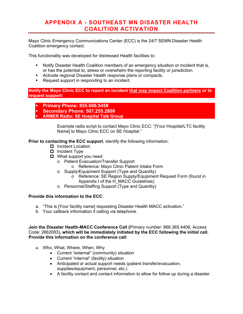## **APPENDIX A - SOUTHEAST MN DISASTER HEALTH COALITION ACTIVATION**

Mayo Clinic Emergency Communications Center (ECC) is the 24/7 SEMN Disaster Health Coalition emergency contact.

This functionality was developed for distressed Health facilities to:

- **Notify Disaster Health Coalition members of an emergency situation or incident that is,** or has the potential to, stress or overwhelm the reporting facility or jurisdiction.
- **Activate regional Disaster Health response plans or compacts.**
- Request support in responding to an incident.

**Notify the Mayo Clinic ECC to report an incident that may impact Coalition partners or to request support:** 

- **Primary Phone: 855.606.5458**
- **Secondary Phone: 507.255.2808**
- **ARMER Radio: SE Hospital Talk Group**

Example radio script to contact Mayo Clinic ECC: "[Your Hospital/LTC facility Name] to Mayo Clinic ECC on SE Hospital."

**Prior to contacting the ECC support**, identify the following information:

- □ Incident Location
- $\Box$  Incident Type
- What support you need:
	- o Patient Evacuation/Transfer Support
		- o Reference: Mayo Clinic Patient Intake Form
	- o Supply/Equipment Support (Type and Quantity)
		- o Reference: SE Region Supply/Equipment Request Form (found in Appendix I of the H\_MACC Guidelines)
	- o Personnel/Staffing Support (Type and Quantity)

#### **Provide this information to the ECC**:

- a. "This is [Your facility name] requesting Disaster Health MACC activation."
- b. Your callback information if calling via telephone.

**Join the Disaster Health-MACC Conference Call (**Primary number: 866.365.4406; Access Code: 2662083)**, which will be immediately initiated by the ECC following the initial call. Provide this information on the conference call:**

- a. Who, What, Where, When, Why
	- Current "external" (community) situation
	- Current "internal" (facility) situation
	- Anticipated or actual support needs (patient transfer/evacuation, supplies/equipment, personnel, etc.)
	- A facility contact and contact information to allow for follow up during a disaster.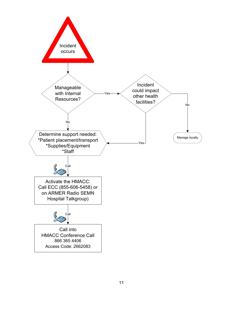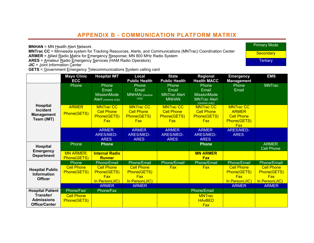## **APPENDIX B - COMMUNICATION PLATFORM MATRIX**

**MNHAN** = MN Health Alert Network

**MNTrac CC** = Minnesota system for Tracking Resources, Alerts, and Communications (MNTrac) Coordination Center **ARMER** = Allied Radio Matrix for Emergency Response; MN 800 MHz Radio System

**ARES** = Amateur Radio Emergency Services (HAM Radio Operators)

**JIC** = <u>J</u>oint Information <u>C</u>enter<br>**GETS** = <u>G</u>overnment <u>E</u>mergency <u>T</u>elecommunications <u>S</u>ystem calling card

|                                                                       | <b>Mayo Clinic</b><br><b>ECC</b> | <b>Hospital IMT</b>                                                 | Local<br><b>Public Health</b>                                       | <b>State</b><br><b>Public Health</b>                                | Regional<br><b>Health MACC</b>                                                 | <b>Emergency</b><br><b>Management</b>                                             | <b>EMS</b>                                     |
|-----------------------------------------------------------------------|----------------------------------|---------------------------------------------------------------------|---------------------------------------------------------------------|---------------------------------------------------------------------|--------------------------------------------------------------------------------|-----------------------------------------------------------------------------------|------------------------------------------------|
|                                                                       | Phone                            | <b>Phone</b><br>Email<br><b>MissionMode</b><br>Alert (receive only) | Phone<br>Email<br><b>MNHAN</b> (receive<br>only)                    | Phone<br>Email<br><b>MNTrac Alert</b><br><b>MNHAN</b>               | Phone<br>Email<br><b>MissionMode</b><br><b>MN</b> Trac Alert<br>(receive only) | Phone<br>Email                                                                    | <b>MNTrac</b>                                  |
| <b>Hospital</b><br><b>Incident</b><br><b>Management</b><br>Team (IMT) | <b>ARMER</b><br>Phone(GETS)      | <b>MNTracCC</b><br><b>Cell Phone</b><br>Phone(GETS)<br><b>Fax</b>   | <b>MN</b> Trac CC<br><b>Cell Phone</b><br>Phone(GETS)<br><b>Fax</b> | <b>MN</b> Trac CC<br><b>Cell Phone</b><br>Phone(GETS)<br><b>Fax</b> | <b>MNTracCC</b><br><b>Cell Phone</b><br>Phone(GETS)<br><b>Fax</b>              | <b>MNTracCC</b><br><b>ARMER</b><br><b>Cell Phone</b><br>Phone(GETS)<br><b>Fax</b> |                                                |
|                                                                       |                                  | <b>ARMER</b><br><b>ARES/MED-</b><br><b>ARES</b>                     | <b>ARMER</b><br><b>ARES/MED-</b><br><b>ARES</b>                     | <b>ARMER</b><br><b>ARES/MED-</b><br><b>ARES</b>                     | <b>ARMER</b><br><b>ARES/MED-</b><br><b>ARES</b>                                | <b>ARES/MED-</b><br><b>ARES</b>                                                   |                                                |
| Hospital                                                              | Phone                            | <b>Phone</b>                                                        |                                                                     |                                                                     | <b>Phone</b>                                                                   |                                                                                   | <b>ARMER</b><br><b>Cell Phone</b>              |
| <b>Emergency</b><br><b>Department</b>                                 | <b>MN ARMER;</b><br>Phone(GETS)  | <b>Internal Radio</b><br><b>Runner</b>                              |                                                                     |                                                                     | <b>MN ARMER</b><br><b>Fax</b>                                                  |                                                                                   |                                                |
|                                                                       | Phone                            | Phone/Email                                                         | Phone/Email                                                         | Phone/Email/                                                        | <b>Phone/Email</b>                                                             | Phone/Email                                                                       | Phone/Email/                                   |
| <b>Hospital Public</b><br><b>Information</b><br><b>Officer</b>        | <b>Cell Phone</b><br>Phone(GETS) | <b>Cell Phone</b><br>Phone(GETS)<br><b>Fax</b>                      | <b>Cell Phone</b><br>Phone(GETS)<br><b>Fax</b>                      | Fax                                                                 | <b>Fax</b>                                                                     | <b>Cell Phone</b><br>Phone(GETS)<br><b>Fax</b>                                    | <b>Cell Phone</b><br>Phone(GETS)<br><b>Fax</b> |
|                                                                       |                                  | In Person(JIC)                                                      | In Person(JIC)                                                      |                                                                     |                                                                                | In Person(JIC)                                                                    | In Person(JIC)                                 |
|                                                                       |                                  | <b>ARMER</b>                                                        | <b>ARMER</b>                                                        |                                                                     |                                                                                | <b>ARMER</b>                                                                      | <b>ARMER</b>                                   |
| <b>Hospital Patient</b>                                               | Phone/Fax/                       | Phone/Fax                                                           |                                                                     |                                                                     | Phone/Email                                                                    |                                                                                   |                                                |
| Transfer/                                                             | <b>Cell Phone</b>                |                                                                     |                                                                     |                                                                     | <b>MNTrac</b>                                                                  |                                                                                   |                                                |
| <b>Admissions</b><br><b>Office/Center</b>                             | Phone(GETS)                      |                                                                     |                                                                     |                                                                     | <b>HAVBED</b>                                                                  |                                                                                   |                                                |
|                                                                       |                                  |                                                                     |                                                                     |                                                                     | <b>Fax</b>                                                                     |                                                                                   |                                                |

Primary Mode

**Secondary** 

**Tertiary**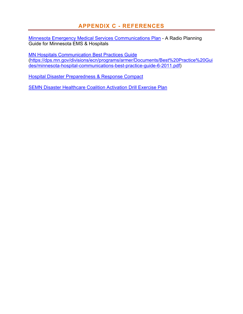## **APPENDIX C - REFERENCES**

Minnesota Emergency Medical Services Communications Plan - A Radio Planning Guide for Minnesota EMS & Hospitals

MN Hospitals Communication Best Practices Guide (https://dps.mn.gov/divisions/ecn/programs/armer/Documents/Best%20Practice%20Gui des/minnesota-hospital-communications-best-practice-guide-6-2011.pdf)

Hospital Disaster Preparedness & Response Compact

SEMN Disaster Healthcare Coalition Activation Drill Exercise Plan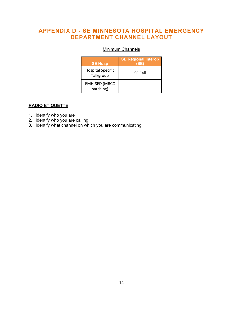## **APPENDIX D - SE MINNESOTA HOSPITAL EMERGENCY DEPARTMENT CHANNEL LAYOUT**

## **Minimum Channels**

| <b>SE Hosp</b>                        | <b>SE Regional Interop</b><br>(SE |
|---------------------------------------|-----------------------------------|
| <b>Hospital Specific</b><br>Talkgroup | <b>SE Call</b>                    |
| <b>EMH-SED (MRCC</b><br>patching)     |                                   |

#### **RADIO ETIQUETTE**

- 1. Identify who you are
- 2. Identify who you are calling
- 3. Identify what channel on which you are communicating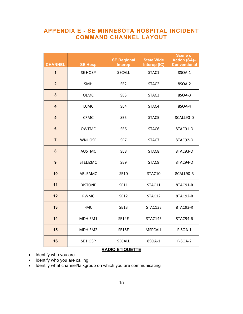## **APPENDIX E - SE MINNESOTA HOSPITAL INCIDENT COMMAND CHANNEL LAYOUT**

| <b>CHANNEL</b>          | <b>SE Hosp</b>  | <b>SE Regional</b><br><b>Interop</b> | <b>State Wide</b><br>Interop (IC) | <b>Scene of</b><br><b>Action (SA)-</b><br><b>Conventional</b> |  |
|-------------------------|-----------------|--------------------------------------|-----------------------------------|---------------------------------------------------------------|--|
| $\overline{1}$          | <b>SE HOSP</b>  | <b>SECALL</b>                        | STAC1                             | 8SOA-1                                                        |  |
| $\overline{2}$          | SMH             | SE <sub>2</sub>                      | STAC <sub>2</sub>                 | 8SOA-2                                                        |  |
| $\mathbf{3}$            | <b>OLMC</b>     | SE3                                  | STAC3                             | 8SOA-3                                                        |  |
| $\overline{\mathbf{4}}$ | <b>LCMC</b>     | SE4                                  | STAC4                             | 8SOA-4                                                        |  |
| $5\phantom{1}$          | <b>CFMC</b>     | SE <sub>5</sub>                      | STAC5                             | 8CALL90-D                                                     |  |
| $6\phantom{1}$          | <b>OWTMC</b>    | SE <sub>6</sub>                      | STAC6                             | 8TAC91-D                                                      |  |
| $\overline{7}$          | <b>WNHOSP</b>   | SE7                                  | STAC7                             | 8TAC92-D                                                      |  |
| 8                       | <b>AUSTMC</b>   | SE8                                  | STAC8                             | 8TAC93-D                                                      |  |
| 9                       | <b>STELIZMC</b> | SE9                                  | STAC9                             | 8TAC94-D                                                      |  |
| 10                      | ABLEAMC         | SE10<br>STAC10                       |                                   | 8CALL90-R                                                     |  |
| 11                      | <b>DISTONE</b>  | SE11                                 | STAC11                            | 8TAC91-R                                                      |  |
| 12                      | <b>RWMC</b>     | <b>SE12</b>                          | STAC12                            | 8TAC92-R                                                      |  |
| 13                      | <b>FMC</b>      | <b>SE13</b>                          | STAC13E                           | 8TAC93-R                                                      |  |
| 14                      | MDH EM1         | <b>SE14E</b>                         | STAC14E                           | 8TAC94-R                                                      |  |
| 15                      | MDH EM2         | <b>SE15E</b>                         | <b>MSPCALL</b>                    | $F-SOA-1$                                                     |  |
| 16                      | <b>SE HOSP</b>  | <b>SECALL</b>                        | 8SOA-1                            | <b>F-SOA-2</b>                                                |  |

#### **RADIO ETIQUETTE**

- Identify who you are
- Identify who you are calling
- Identify what channel/talkgroup on which you are communicating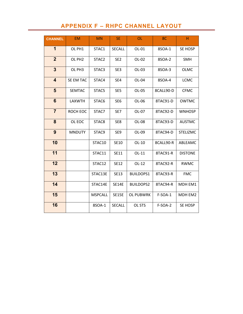## **APPENDIX F – RHPC CHANNEL LAYOUT**

| <b>CHANNEL</b>          | <b>EM</b>          | <b>MN</b>         | <b>SE</b>       | <b>OL</b>        | 8C        | H               |
|-------------------------|--------------------|-------------------|-----------------|------------------|-----------|-----------------|
| 1                       | OL PH1             | STAC1             | <b>SECALL</b>   | OL-01            | 8SOA-1    | SE HOSP         |
| $\overline{2}$          | OL PH <sub>2</sub> | STAC <sub>2</sub> | SE <sub>2</sub> | OL-02            | 8SOA-2    | <b>SMH</b>      |
| 3                       | OL PH3             | STAC3             | SE3             | OL-03            | 8SOA-3    | <b>OLMC</b>     |
| $\overline{\mathbf{4}}$ | SE EM TAC          | STAC4             | SE4             | OL-04            | 8SOA-4    | <b>LCMC</b>     |
| 5                       | <b>SEMTAC</b>      | STAC5             | SE <sub>5</sub> | OL-05            | 8CALL90-D | <b>CFMC</b>     |
| $6\phantom{1}$          | <b>LAXWTH</b>      | STAC6             | SE <sub>6</sub> | OL-06            | 8TAC91-D  | <b>OWTMC</b>    |
| $\overline{7}$          | ROCH EOC           | STAC7             | SE7             | OL-07            | 8TAC92-D  | <b>WNHOSP</b>   |
| 8                       | OL EOC             | STAC8             | SE8             | OL-08            | 8TAC93-D  | <b>AUSTMC</b>   |
| 9                       | <b>MNDUTY</b>      | STAC9             | SE9             | OL-09            | 8TAC94-D  | <b>STELIZMC</b> |
| 10                      |                    | STAC10            | <b>SE10</b>     | OL-10            | 8CALL90-R | ABLEAMC         |
| 11                      |                    | STAC11            | <b>SE11</b>     | OL-11            | 8TAC91-R  | <b>DISTONE</b>  |
| 12                      |                    | STAC12            | <b>SE12</b>     | $OL-12$          | 8TAC92-R  | <b>RWMC</b>     |
| 13                      |                    | STAC13E           | <b>SE13</b>     | <b>BUILDOPS1</b> | 8TAC93-R  | <b>FMC</b>      |
| 14                      |                    | STAC14E           | <b>SE14E</b>    | <b>BUILDOPS2</b> | 8TAC94-R  | MDH EM1         |
| 15                      |                    | <b>MSPCALL</b>    | <b>SE15E</b>    | <b>OL PUBWRK</b> | $F-SOA-1$ | MDH EM2         |
| 16                      |                    | 8SOA-1            | SECALL          | OL STS           | F-SOA-2   | SE HOSP         |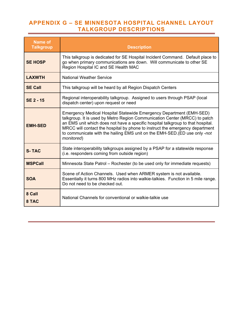## **APPENDIX G – SE MINNESOTA HOSPITAL CHANNEL LAYOUT TALKGROUP DESCRIPTIONS**

| <b>Name of</b><br><b>Talkgroup</b> | <b>Description</b>                                                                                                                                                                                                                                                                                                                                                                                               |
|------------------------------------|------------------------------------------------------------------------------------------------------------------------------------------------------------------------------------------------------------------------------------------------------------------------------------------------------------------------------------------------------------------------------------------------------------------|
| <b>SE HOSP</b>                     | This talkgroup is dedicated for SE Hospital Incident Command. Default place to<br>go when primary communications are down. Will communicate to other SE<br>Region Hospital IC and SE Health MAC                                                                                                                                                                                                                  |
| <b>LAXWTH</b>                      | <b>National Weather Service</b>                                                                                                                                                                                                                                                                                                                                                                                  |
| <b>SE Call</b>                     | This talkgroup will be heard by all Region Dispatch Centers                                                                                                                                                                                                                                                                                                                                                      |
| <b>SE 2 - 15</b>                   | Regional interoperability talkgroup. Assigned to users through PSAP (local<br>dispatch center) upon request or need                                                                                                                                                                                                                                                                                              |
| <b>EMH-SED</b>                     | Emergency Medical Hospital Statewide Emergency Department (EMH-SED)<br>talkgroup. It is used by Metro Region Communication Center (MRCC) to patch<br>an EMS unit which does not have a specific hospital talkgroup to that hospital.<br>MRCC will contact the hospital by phone to instruct the emergency department<br>to communicate with the hailing EMS unit on the EMH-SED. (ED use only -not<br>monitored) |
| <b>S-TAC</b>                       | State interoperability talkgroups assigned by a PSAP for a statewide response<br>(i.e. responders coming from outside region)                                                                                                                                                                                                                                                                                    |
| <b>MSPCall</b>                     | Minnesota State Patrol - Rochester (to be used only for immediate requests)                                                                                                                                                                                                                                                                                                                                      |
| <b>SOA</b>                         | Scene of Action Channels. Used when ARMER system is not available.<br>Essentially it turns 800 MHz radios into walkie-talkies. Function in 5 mile range.<br>Do not need to be checked out.                                                                                                                                                                                                                       |
| 8 Call<br>8 TAC                    | National Channels for conventional or walkie-talkie use                                                                                                                                                                                                                                                                                                                                                          |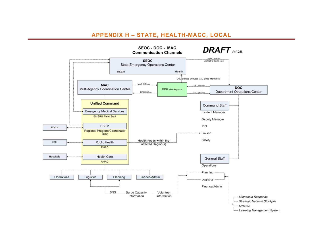## **APPENDIX H – STATE, HEALTH-MACC, LOCAL**

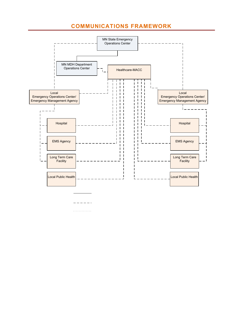## **COMMUNICATIONS FRAMEWORK**



. . . . . . . . . . . . .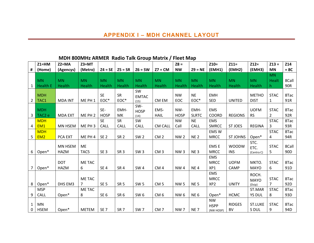|              | $Z1 = HM$          | $Z2 = MA$      | $Z3 = MT$          |                 |                 |                 |                 | $Z8 =$          |                 | $Z10=$                   | $Z11=$          | $Z12=$         | $Z13 =$        | Z14             |
|--------------|--------------------|----------------|--------------------|-----------------|-----------------|-----------------|-----------------|-----------------|-----------------|--------------------------|-----------------|----------------|----------------|-----------------|
| #            | (Home)             | (Agencys)      | (Metro)            | $Z4 = SE$       | $Z5 = SR$       | $Z6 = SW$       | $Z7 = CM$       | <b>NW</b>       | $Z9 = NE$       | (EMH1)                   | (EMH2)          | (EMH3)         | <b>MN</b>      | $= 8C$          |
|              |                    |                |                    |                 |                 |                 |                 |                 |                 |                          |                 |                | <b>MN</b>      |                 |
|              | <b>MN</b>          | <b>MN</b>      | <b>MN</b>          | <b>MN</b>       | <b>MN</b>       | <b>MN</b>       | <b>MN</b>       | <b>MN</b>       | <b>MN</b>       | <b>MN</b>                | <b>MN</b>       | <b>MN</b>      | <b>Healt</b>   | 8Call           |
| 1            | <b>Health E</b>    | <b>Health</b>  | Health             | <b>Health</b>   | Health          | Health          | Health          | Health          | Health          | Health                   | Health          | <b>Health</b>  | h              | 90R             |
|              |                    |                |                    |                 |                 | SW              |                 |                 |                 |                          |                 |                |                |                 |
|              | <b>MDH</b>         |                |                    | <b>SE</b>       | <b>SR</b>       | <b>EMTAC</b>    |                 | <b>NW</b>       | <b>NE</b>       | <b>EMH</b>               |                 | <b>METHO</b>   | <b>STAC</b>    | 8Tac            |
| 2            | TAC1               | <b>MDA INT</b> | ME PH <sub>1</sub> | EOC*            | EOC*            | (15)            | CM EM           | EOC             | EOC*            | <b>SED</b>               | <b>UNITED</b>   | <b>DIST</b>    | $\mathbf{1}$   | 91R             |
|              |                    |                |                    | SE-             | EMH-            | SW-             | EMS-            | NW-             | EMH-            | <b>EMS</b>               |                 | <b>UOFM</b>    | <b>STAC</b>    | 8Tac            |
|              | <b>MDH</b>         | <b>MDA EXT</b> | ME PH <sub>2</sub> | <b>HOSP</b>     |                 | <b>HOSP</b>     |                 | <b>HOSP</b>     | <b>SLRTC</b>    | <b>COORD</b>             | <b>REGIONS</b>  |                | $\overline{2}$ | 92R             |
| 3            | TAC <sub>2</sub> e |                |                    |                 | МK              | (14)            | <b>HAIL</b>     |                 |                 |                          |                 | <b>RS</b>      |                |                 |
|              | <b>MDH</b>         |                |                    | <b>SE</b>       | <b>SR</b>       | SW              |                 | <b>NW</b>       | <b>NE</b>       | <b>EMS</b>               |                 |                | <b>STAC</b>    | 8Tac            |
| 4            | EM <sub>1</sub>    | MN HSEM        | ME PH <sub>3</sub> | CALL            | CALL            | CALL            | <b>CM CALL</b>  | Call            | <b>CALL</b>     | <b>SMRCC</b>             | <b>ST JOES</b>  | <b>REGINA</b>  | 3              | 93R             |
|              | <b>MDH</b>         |                |                    |                 |                 |                 |                 |                 |                 | EMS W                    |                 |                | <b>STAC</b>    | 8Tac            |
| 5            | EM <sub>2</sub>    | PCA EXT        | ME PH 4            | SE <sub>2</sub> | SR <sub>2</sub> | SW <sub>2</sub> | CM <sub>2</sub> | <b>NW2</b>      | <b>NE2</b>      | <b>MRCC</b>              | <b>ST JOHNS</b> | Open*          | 4              | 94R             |
|              |                    | MN HSEM        | <b>ME</b>          |                 |                 |                 |                 |                 |                 | <b>EMSE</b>              | <b>WOODW</b>    | STC.           | <b>STAC</b>    | 8Call           |
| 6            | Open*              | <b>HAZM</b>    | TAC5               | SE <sub>3</sub> | SR <sub>3</sub> | SW <sub>3</sub> | CM <sub>3</sub> | NW <sub>3</sub> | NE <sub>3</sub> | <b>MRCC</b>              | <b>INS</b>      | ETC.           | 5              | 90 <sub>D</sub> |
|              |                    |                |                    |                 |                 |                 |                 |                 |                 | <b>EMS</b>               |                 | (Centra C)     |                |                 |
|              |                    | <b>DOT</b>     | ME TAC             |                 |                 |                 |                 |                 |                 | <b>MRCC</b>              | <b>UOFM</b>     | MKTO.          | <b>STAC</b>    | 8Tac            |
| 7            | Open*              | <b>HAZM</b>    | 6                  | SE <sub>4</sub> | SR <sub>4</sub> | <b>SW4</b>      | CM <sub>4</sub> | NW <sub>4</sub> | NE <sub>4</sub> | XP1                      | CAMP            | <b>MAYO</b>    | 6              | 91D             |
|              |                    |                |                    |                 |                 |                 |                 |                 |                 | <b>EMS</b>               |                 |                |                |                 |
|              |                    |                |                    |                 |                 |                 |                 |                 |                 |                          |                 | ROCH.          |                |                 |
|              |                    |                | ME TAC             |                 |                 |                 |                 |                 |                 | <b>MRCC</b>              |                 | <b>MAYO</b>    | <b>STAC</b>    | 8Tac            |
| 8            | Open*              | DHS EM3        | 7                  | SE <sub>5</sub> | SR <sub>5</sub> | <b>SW 5</b>     | CM <sub>5</sub> | <b>NW5</b>      | <b>NE5</b>      | XP <sub>2</sub>          | <b>UNITY</b>    | (Dsip)         | $\overline{7}$ | 92D             |
|              | <b>MSP</b>         |                | ME TAC             |                 |                 |                 |                 |                 |                 |                          |                 | ST.MAR         | <b>STAC</b>    | 8Tac            |
| 9            | <b>CALL</b>        | Open*          | 8                  | SE <sub>6</sub> | SR <sub>6</sub> | SW 6            | CM <sub>6</sub> | <b>NW6</b>      | NE <sub>6</sub> | Open*                    | <b>HCMC</b>     | <b>YS DUL</b>  | 8              | 93D             |
| $\mathbf{1}$ | <b>MN</b>          |                |                    |                 |                 |                 |                 |                 |                 | <b>NW</b>                | <b>RIDGES</b>   | <b>ST.LUKE</b> | <b>STAC</b>    | 8Tac            |
| 0            | <b>HSEM</b>        | Open*          | <b>METEM</b>       | SE <sub>7</sub> | SR <sub>7</sub> | SW <sub>7</sub> | CM <sub>7</sub> | NW <sub>7</sub> | <b>NE7</b>      | <b>HSPP</b><br>(NW HOSP) | <b>BV</b>       | S DUL          | 9              | 94D             |

### **MDH 800MHz ARMER Radio Talk Group Matrix / Fleet Map**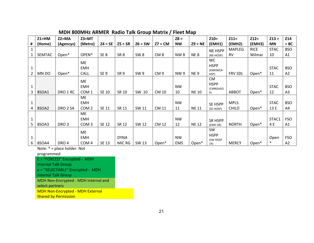|              | $Z1 = HM$     | $Z2 = MA$           | $Z3 = MT$         |                 |                 |                 |                 | $Z8 =$     |              | $Z10=$           | $Z11=$         | $Z12=$      | $Z13 =$     | Z14            |
|--------------|---------------|---------------------|-------------------|-----------------|-----------------|-----------------|-----------------|------------|--------------|------------------|----------------|-------------|-------------|----------------|
| #            | (Home)        | (Agencys)           | (Metro)           | $Z4 = SE$       | $Z5 = SR$       | $Z6 = SW$       | $Z7 = CM$       | <b>NW</b>  | $Z9 = NE$    | (EMH1)           | (EMH2)         | (EMH3)      | <b>MN</b>   | $= 8C$         |
| $\mathbf{1}$ |               |                     |                   |                 |                 |                 |                 |            |              | <b>NE HSPP</b>   | MAPLEG         | <b>RICE</b> | <b>STAC</b> | 8SO            |
|              | <b>SEMTAC</b> | Open*               | OPEN <sup>*</sup> | SE <sub>8</sub> | SR <sub>8</sub> | SW <sub>8</sub> | CM <sub>8</sub> | <b>NW8</b> | <b>NE8</b>   | (NE-HOSP)        | <b>RV</b>      | Wilmar      | 10          | A1             |
|              |               |                     | ME                |                 |                 |                 |                 |            |              | <b>WC</b>        |                |             |             |                |
|              |               |                     | <b>EMH</b>        |                 |                 |                 |                 |            |              | <b>HSPP</b>      |                |             | <b>STAC</b> | 8SO            |
| 2            | MN DO         | Open*               | CALL              | SE <sub>9</sub> | SR <sub>9</sub> | SW <sub>9</sub> | CM <sub>9</sub> | <b>NW9</b> | <b>NE9</b>   | (EMHWCR-<br>HSP) | <b>FRV SDL</b> | Open*       | 11          | A2             |
|              |               |                     |                   |                 |                 |                 |                 |            |              | <b>CM</b>        |                |             |             |                |
|              |               |                     | <b>ME</b>         |                 |                 |                 |                 |            |              | <b>HSPP</b>      |                |             |             |                |
| 1            |               |                     | <b>EMH</b>        |                 |                 |                 |                 | <b>NW</b>  |              | (CMRGHSO         |                |             | <b>STAC</b> | 8SO            |
| 3            | 8SOA1         | DRO 1 RC            | COM <sub>1</sub>  | <b>SE 10</b>    | SR 10           | SW 10           | CM 10           | 10         | <b>NE 10</b> | P)               | <b>ABBOT</b>   | Open*       | 12          | A <sub>3</sub> |
|              |               |                     | <b>ME</b>         |                 |                 |                 |                 |            |              |                  |                |             |             |                |
| 1            |               |                     | <b>EMH</b>        |                 |                 |                 |                 | <b>NW</b>  |              | SE HSPP          | <b>MPLS</b>    |             | <b>STAC</b> | <b>8SO</b>     |
| 4            | 8SOA2         | DRO <sub>2</sub> SA | COM <sub>2</sub>  | <b>SE 11</b>    | SR 11           | SW 11           | <b>CM 11</b>    | 11         | <b>NE 11</b> | (SE HOSP)        | <b>CHILD</b>   | Open*       | 13 E        | A4             |
|              |               |                     | <b>ME</b>         |                 |                 |                 |                 |            |              |                  |                |             |             |                |
| 1            |               |                     | <b>EMH</b>        |                 |                 |                 |                 | <b>NW</b>  |              | SR HSPP          |                |             | STAC1       | <b>FSO</b>     |
| 5            | 8SOA3         | DRO <sub>3</sub>    | COM <sub>3</sub>  | <b>SE 12</b>    | SR 12           | SW 12           | <b>CM 12</b>    | 12         | <b>NE 12</b> | (EMH SR)         | <b>NORTH</b>   | Open*       | 4 E         | Α1             |
|              |               |                     | <b>ME</b>         |                 |                 |                 |                 |            |              | SW               |                |             |             |                |
|              |               |                     | <b>EMH</b>        |                 | <b>DYNA</b>     |                 |                 | <b>NW</b>  |              | <b>HSPP</b>      |                |             | Open        | <b>FSO</b>     |
| 6            | 8SOA4         | DRO <sub>4</sub>    | COM <sub>4</sub>  | <b>SE 13</b>    | MIC RG          | SW 13           | Open*           | <b>EMS</b> | Open*        | (SW HOSP<br>14)  | <b>MERCY</b>   | Open*       | $\ast$      | A <sub>2</sub> |

#### **MDH 800MHz ARMER Radio Talk Group Matrix / Fleet Map**

Note: \* = place holder. Not

programmed

E = "FORCED" Encrypted ‐ MDH

Internal Talk Group

e = "SELECTABLE" Encrypted ‐ MDH

Internal Talk Group

MDH Non‐Encrypted ‐ MDH Internal and

select partners

MDH Non‐Encrypted ‐ MDH External

**Shared by Permission**